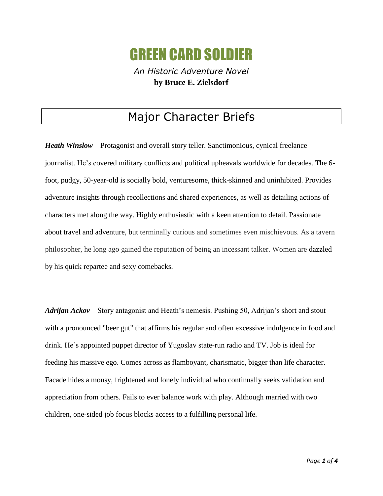## GREEN CARD SOLDIER

*An Historic Adventure Novel* **by Bruce E. Zielsdorf**

## Major Character Briefs

*Heath Winslow* – Protagonist and overall story teller. Sanctimonious, cynical freelance journalist. He's covered military conflicts and political upheavals worldwide for decades. The 6 foot, pudgy, 50-year-old is socially bold, venturesome, thick-skinned and uninhibited. Provides adventure insights through recollections and shared experiences, as well as detailing actions of characters met along the way. Highly enthusiastic with a keen attention to detail. Passionate about travel and adventure, but terminally curious and sometimes even mischievous. As a tavern philosopher, he long ago gained the reputation of being an incessant talker. Women are dazzled by his quick repartee and sexy comebacks.

*Adrijan Ackov* – Story antagonist and Heath's nemesis. Pushing 50, Adrijan's short and stout with a pronounced "beer gut" that affirms his regular and often excessive indulgence in food and drink. He's appointed puppet director of Yugoslav state-run radio and TV. Job is ideal for feeding his massive ego. Comes across as flamboyant, charismatic, bigger than life character. Facade hides a mousy, frightened and lonely individual who continually seeks validation and appreciation from others. Fails to ever balance work with play. Although married with two children, one-sided job focus blocks access to a fulfilling personal life.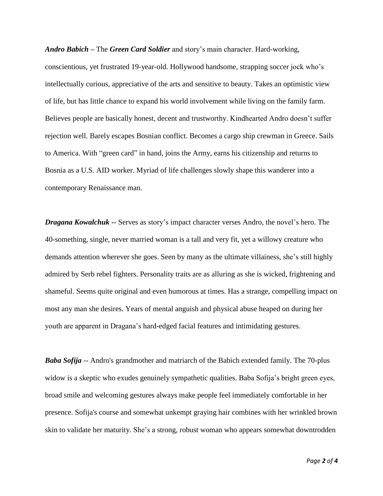*Andro Babich* **–** The *Green Card Soldier* and story's main character. Hard-working,

conscientious, yet frustrated 19-year-old. Hollywood handsome, strapping soccer jock who's intellectually curious, appreciative of the arts and sensitive to beauty. Takes an optimistic view of life, but has little chance to expand his world involvement while living on the family farm. Believes people are basically honest, decent and trustworthy. Kindhearted Andro doesn't suffer rejection well. Barely escapes Bosnian conflict. Becomes a cargo ship crewman in Greece. Sails to America. With "green card" in hand, joins the Army, earns his citizenship and returns to Bosnia as a U.S. AID worker. Myriad of life challenges slowly shape this wanderer into a contemporary Renaissance man.

*Dragana Kowalchuk* -- Serves as story's impact character verses Andro, the novel's hero. The 40-something, single, never married woman is a tall and very fit, yet a willowy creature who demands attention wherever she goes. Seen by many as the ultimate villainess, she's still highly admired by Serb rebel fighters. Personality traits are as alluring as she is wicked, frightening and shameful. Seems quite original and even humorous at times. Has a strange, compelling impact on most any man she desires. Years of mental anguish and physical abuse heaped on during her youth are apparent in Dragana's hard-edged facial features and intimidating gestures.

*Baba Sofija* -- Andro's grandmother and matriarch of the Babich extended family. The 70-plus widow is a skeptic who exudes genuinely sympathetic qualities. Baba Sofija's bright green eyes, broad smile and welcoming gestures always make people feel immediately comfortable in her presence. Sofija's course and somewhat unkempt graying hair combines with her wrinkled brown skin to validate her maturity. She's a strong, robust woman who appears somewhat downtrodden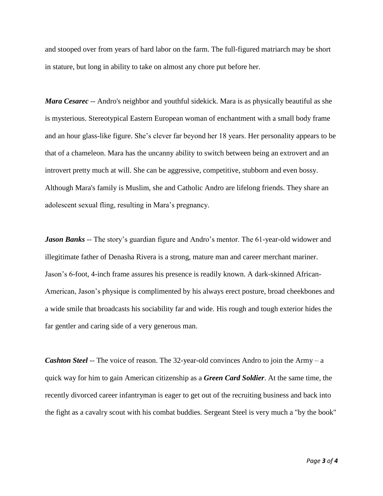and stooped over from years of hard labor on the farm. The full-figured matriarch may be short in stature, but long in ability to take on almost any chore put before her.

*Mara Cesarec* -- Andro's neighbor and youthful sidekick. Mara is as physically beautiful as she is mysterious. Stereotypical Eastern European woman of enchantment with a small body frame and an hour glass-like figure. She's clever far beyond her 18 years. Her personality appears to be that of a chameleon. Mara has the uncanny ability to switch between being an extrovert and an introvert pretty much at will. She can be aggressive, competitive, stubborn and even bossy. Although Mara's family is Muslim, she and Catholic Andro are lifelong friends. They share an adolescent sexual fling, resulting in Mara's pregnancy.

*Jason Banks* -- The story's guardian figure and Andro's mentor. The 61-year-old widower and illegitimate father of Denasha Rivera is a strong, mature man and career merchant mariner. Jason's 6-foot, 4-inch frame assures his presence is readily known. A dark-skinned African-American, Jason's physique is complimented by his always erect posture, broad cheekbones and a wide smile that broadcasts his sociability far and wide. His rough and tough exterior hides the far gentler and caring side of a very generous man.

*Cashton Steel* -- The voice of reason. The 32-year-old convinces Andro to join the Army – a quick way for him to gain American citizenship as a *Green Card Soldier*. At the same time, the recently divorced career infantryman is eager to get out of the recruiting business and back into the fight as a cavalry scout with his combat buddies. Sergeant Steel is very much a "by the book"